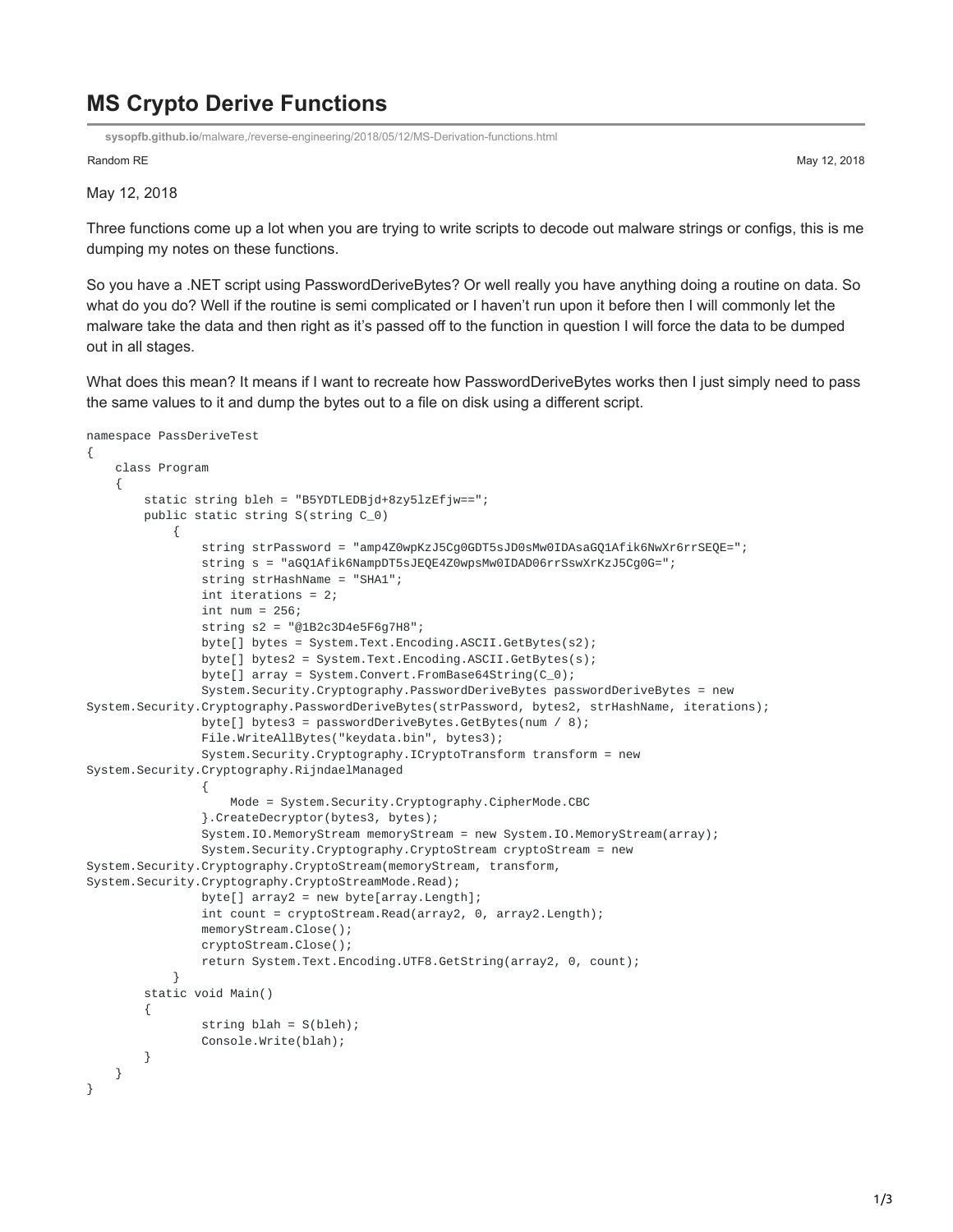## **MS Crypto Derive Functions**

**sysopfb.github.io**[/malware,/reverse-engineering/2018/05/12/MS-Derivation-functions.html](https://sysopfb.github.io/malware,/reverse-engineering/2018/05/12/MS-Derivation-functions.html)

Random RE May 12, 2018

May 12, 2018

Three functions come up a lot when you are trying to write scripts to decode out malware strings or configs, this is me dumping my notes on these functions.

So you have a .NET script using PasswordDeriveBytes? Or well really you have anything doing a routine on data. So what do you do? Well if the routine is semi complicated or I haven't run upon it before then I will commonly let the malware take the data and then right as it's passed off to the function in question I will force the data to be dumped out in all stages.

What does this mean? It means if I want to recreate how PasswordDeriveBytes works then I just simply need to pass the same values to it and dump the bytes out to a file on disk using a different script.

```
namespace PassDeriveTest
{
    class Program
    {
        static string bleh = "B5YDTLEDBjd+8zy5lzEfjw==";
        public static string S(string C_0)
            {
                string strPassword = "amp4Z0wpKzJ5Cg0GDT5sJD0sMw0IDAsaGQ1Afik6NwXr6rrSEQE=";
                string s = "aGQ1Afik6NampDT5sJEQE4Z0wpsMw0IDAD06rrSswXrKzJ5Cg0G=";
                string strHashName = "SHA1";
                int iterations = 2;
                int num = 256;
                string s2 = "@1B2c3D4e5F6g7H8";
                byte[] bytes = System.Text.Encoding.ASCII.GetBytes(s2);
                byte[] bytes2 = System.Text.Encoding.ASCII.GetBytes(s);
                byte[] array = System.Convert.FromBase64String(C_0);
                System.Security.Cryptography.PasswordDeriveBytes passwordDeriveBytes = new
System.Security.Cryptography.PasswordDeriveBytes(strPassword, bytes2, strHashName, iterations);
                byte[] bytes3 = passwordDeriveBytes.GetBytes(num / 8);
                File.WriteAllBytes("keydata.bin", bytes3);
                System.Security.Cryptography.ICryptoTransform transform = new
System.Security.Cryptography.RijndaelManaged
                {
                    Mode = System.Security.Cryptography.CipherMode.CBC
                }.CreateDecryptor(bytes3, bytes);
                System.IO.MemoryStream memoryStream = new System.IO.MemoryStream(array);
                System.Security.Cryptography.CryptoStream cryptoStream = new
System.Security.Cryptography.CryptoStream(memoryStream, transform,
System.Security.Cryptography.CryptoStreamMode.Read);
                byte[] array2 = new byte[array.length];int count = cryptoStream.Read(array2, 0, array2.Length);
                memoryStream.Close();
                cryptoStream.Close();
                return System.Text.Encoding.UTF8.GetString(array2, 0, count);
            }
        static void Main()
        {
                string blah = S(bleh);
                Console.Write(blah);
        }
   }
}
```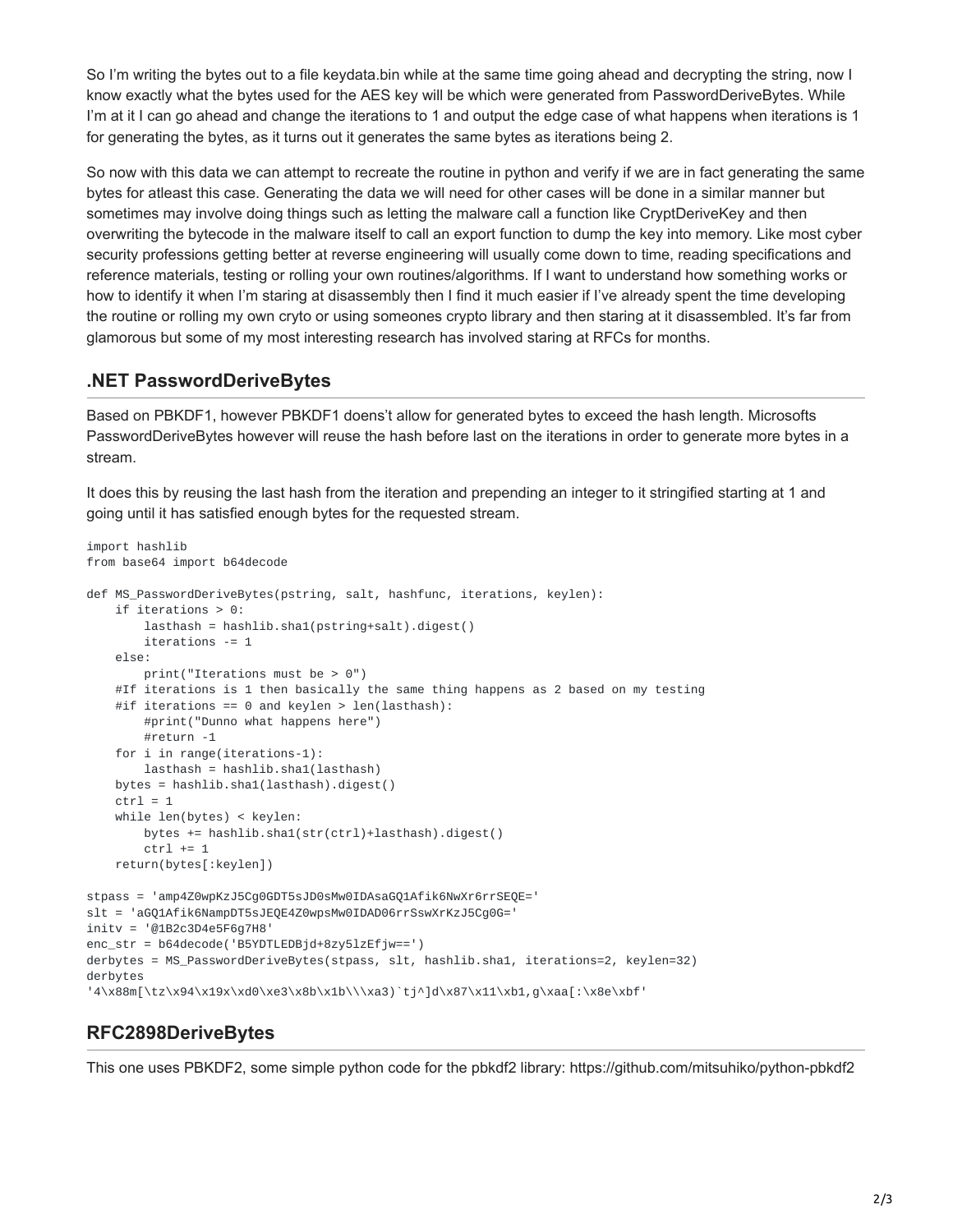So I'm writing the bytes out to a file keydata.bin while at the same time going ahead and decrypting the string, now I know exactly what the bytes used for the AES key will be which were generated from PasswordDeriveBytes. While I'm at it I can go ahead and change the iterations to 1 and output the edge case of what happens when iterations is 1 for generating the bytes, as it turns out it generates the same bytes as iterations being 2.

So now with this data we can attempt to recreate the routine in python and verify if we are in fact generating the same bytes for atleast this case. Generating the data we will need for other cases will be done in a similar manner but sometimes may involve doing things such as letting the malware call a function like CryptDeriveKey and then overwriting the bytecode in the malware itself to call an export function to dump the key into memory. Like most cyber security professions getting better at reverse engineering will usually come down to time, reading specifications and reference materials, testing or rolling your own routines/algorithms. If I want to understand how something works or how to identify it when I'm staring at disassembly then I find it much easier if I've already spent the time developing the routine or rolling my own cryto or using someones crypto library and then staring at it disassembled. It's far from glamorous but some of my most interesting research has involved staring at RFCs for months.

## **.NET PasswordDeriveBytes**

Based on PBKDF1, however PBKDF1 doens't allow for generated bytes to exceed the hash length. Microsofts PasswordDeriveBytes however will reuse the hash before last on the iterations in order to generate more bytes in a stream.

It does this by reusing the last hash from the iteration and prepending an integer to it stringified starting at 1 and going until it has satisfied enough bytes for the requested stream.

```
import hashlib
from base64 import b64decode
def MS_PasswordDeriveBytes(pstring, salt, hashfunc, iterations, keylen):
   if iterations > 0:
       lasthash = hashlib.sha1(pstring+salt).digest()
        iterations -= 1
    else:
        print("Iterations must be > 0")
    #If iterations is 1 then basically the same thing happens as 2 based on my testing
    #if iterations == \theta and keylen > len(lasthash):
        #print("Dunno what happens here")
        #return -1
    for i in range(iterations-1):
       lasthash = hashlib.sha1(lasthash)
   bytes = hashlib.sha1(lasthash).digest()
   ctrl = 1while len(bytes) < keylen:
        bytes += hashlib.sha1(str(ctrl)+lasthash).digest()
        ctrl += 1return(bytes[:keylen])
stpass = 'amp4Z0wpKzJ5Cg0GDT5sJD0sMw0IDAsaGQ1Afik6NwXr6rrSEQE='
slt = 'aGQ1Afik6NampDT5sJEQE4Z0wpsMw0IDAD06rrSswXrKzJ5Cg0G='
initv = '@1B2c3D4e5F6g7H8'
enc_str = b64decode('B5YDTLEDBjd+8zy5lzEfjw==')
derbytes = MS_PasswordDeriveBytes(stpass, slt, hashlib.sha1, iterations=2, keylen=32)
derbytes
'4\x88m[\tz\x94\x19x\xd0\xe3\x8b\x1b\\\xa3)`tj^]d\x87\x11\xb1,g\xaa[:\x8e\xbf'
```
## **RFC2898DeriveBytes**

This one uses PBKDF2, some simple python code for the pbkdf2 library: https://github.com/mitsuhiko/python-pbkdf2